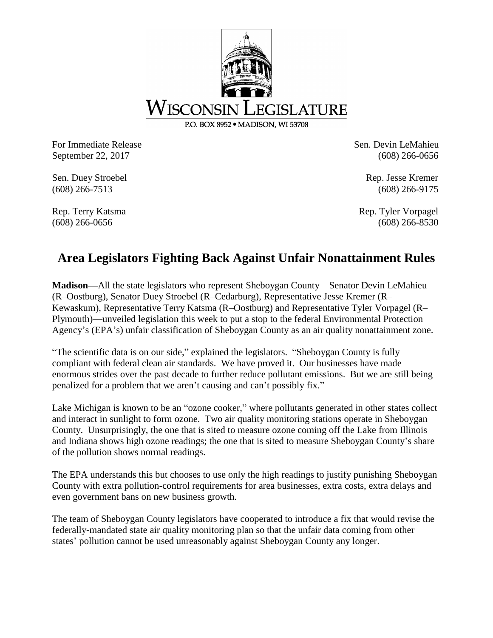

For Immediate Release Sen. Devin LeMahieu September 22, 2017 (608) 266-0656

Sen. Duey Stroebel Rep. Jesse Kremer (608) 266-7513 (608) 266-9175

Rep. Terry Katsma Rep. Terry Katsma Rep. Tyler Vorpagel (608) 266-0656 (608) 266-8530

## **Area Legislators Fighting Back Against Unfair Nonattainment Rules**

**Madison—**All the state legislators who represent Sheboygan County—Senator Devin LeMahieu (R–Oostburg), Senator Duey Stroebel (R–Cedarburg), Representative Jesse Kremer (R– Kewaskum), Representative Terry Katsma (R–Oostburg) and Representative Tyler Vorpagel (R– Plymouth)—unveiled legislation this week to put a stop to the federal Environmental Protection Agency's (EPA's) unfair classification of Sheboygan County as an air quality nonattainment zone.

"The scientific data is on our side," explained the legislators. "Sheboygan County is fully compliant with federal clean air standards. We have proved it. Our businesses have made enormous strides over the past decade to further reduce pollutant emissions. But we are still being penalized for a problem that we aren't causing and can't possibly fix."

Lake Michigan is known to be an "ozone cooker," where pollutants generated in other states collect and interact in sunlight to form ozone. Two air quality monitoring stations operate in Sheboygan County. Unsurprisingly, the one that is sited to measure ozone coming off the Lake from Illinois and Indiana shows high ozone readings; the one that is sited to measure Sheboygan County's share of the pollution shows normal readings.

The EPA understands this but chooses to use only the high readings to justify punishing Sheboygan County with extra pollution-control requirements for area businesses, extra costs, extra delays and even government bans on new business growth.

The team of Sheboygan County legislators have cooperated to introduce a fix that would revise the federally-mandated state air quality monitoring plan so that the unfair data coming from other states' pollution cannot be used unreasonably against Sheboygan County any longer.